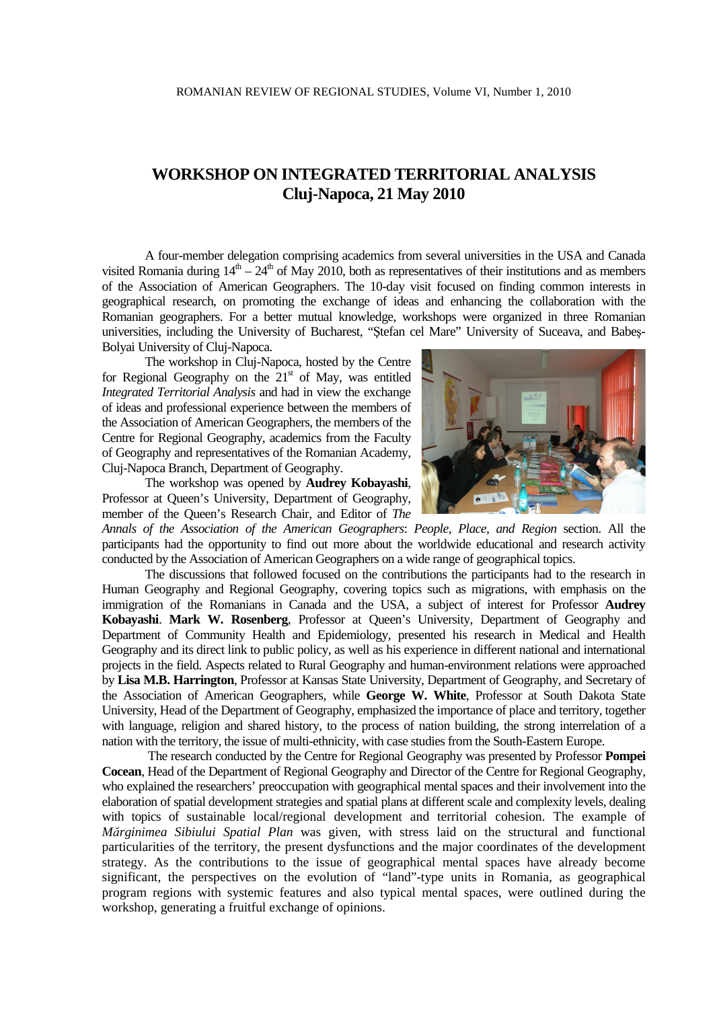## **WORKSHOP ON INTEGRATED TERRITORIAL ANALYSIS Cluj-Napoca, 21 May 2010**

A four-member delegation comprising academics from several universities in the USA and Canada visited Romania during  $14^{\text{th}} - 24^{\text{th}}$  of May 2010, both as representatives of their institutions and as members of the Association of American Geographers. The 10-day visit focused on finding common interests in geographical research, on promoting the exchange of ideas and enhancing the collaboration with the Romanian geographers. For a better mutual knowledge, workshops were organized in three Romanian universities, including the University of Bucharest, "Ştefan cel Mare" University of Suceava, and Babeş-Bolyai University of Cluj-Napoca.

The workshop in Cluj-Napoca, hosted by the Centre for Regional Geography on the  $21<sup>st</sup>$  of May, was entitled *Integrated Territorial Analysis* and had in view the exchange of ideas and professional experience between the members of the Association of American Geographers, the members of the Centre for Regional Geography, academics from the Faculty of Geography and representatives of the Romanian Academy, Cluj-Napoca Branch, Department of Geography.

The workshop was opened by **Audrey Kobayashi**, Professor at Queen's University, Department of Geography, member of the Queen's Research Chair, and Editor of *The* 

*Annals of the Association of the American Geographers*: *People, Place, and Region* section. All the participants had the opportunity to find out more about the worldwide educational and research activity conducted by the Association of American Geographers on a wide range of geographical topics.

The discussions that followed focused on the contributions the participants had to the research in Human Geography and Regional Geography, covering topics such as migrations, with emphasis on the immigration of the Romanians in Canada and the USA, a subject of interest for Professor **Audrey Kobayashi**. **Mark W. Rosenberg**, Professor at Queen's University, Department of Geography and Department of Community Health and Epidemiology, presented his research in Medical and Health Geography and its direct link to public policy, as well as his experience in different national and international projects in the field. Aspects related to Rural Geography and human-environment relations were approached by **Lisa M.B. Harrington**, Professor at Kansas State University, Department of Geography, and Secretary of the Association of American Geographers, while **George W. White**, Professor at South Dakota State University, Head of the Department of Geography, emphasized the importance of place and territory, together with language, religion and shared history, to the process of nation building, the strong interrelation of a nation with the territory, the issue of multi-ethnicity, with case studies from the South-Eastern Europe.

 The research conducted by the Centre for Regional Geography was presented by Professor **Pompei Cocean**, Head of the Department of Regional Geography and Director of the Centre for Regional Geography, who explained the researchers' preoccupation with geographical mental spaces and their involvement into the elaboration of spatial development strategies and spatial plans at different scale and complexity levels, dealing with topics of sustainable local/regional development and territorial cohesion. The example of *Mărginimea Sibiului Spatial Plan* was given, with stress laid on the structural and functional particularities of the territory, the present dysfunctions and the major coordinates of the development strategy. As the contributions to the issue of geographical mental spaces have already become significant, the perspectives on the evolution of "land"-type units in Romania, as geographical program regions with systemic features and also typical mental spaces, were outlined during the workshop, generating a fruitful exchange of opinions.